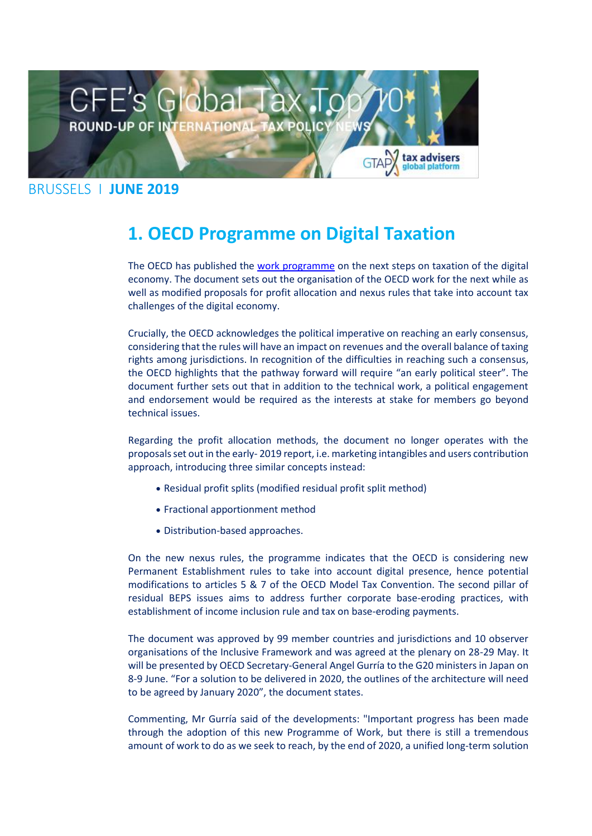

#### BRUSSELS I **JUNE 2019**

## **1. OECD Programme on Digital Taxation**

The OECD has published the [work programme](https://taxadviserseurope.us16.list-manage.com/track/click?u=0823f78338ab363b7e312367d&id=6d85fac290&e=d675bf34cb) on the next steps on taxation of the digital economy. The document sets out the organisation of the OECD work for the next while as well as modified proposals for profit allocation and nexus rules that take into account tax challenges of the digital economy.

Crucially, the OECD acknowledges the political imperative on reaching an early consensus, considering that the rules will have an impact on revenues and the overall balance of taxing rights among jurisdictions. In recognition of the difficulties in reaching such a consensus, the OECD highlights that the pathway forward will require "an early political steer". The document further sets out that in addition to the technical work, a political engagement and endorsement would be required as the interests at stake for members go beyond technical issues.

Regarding the profit allocation methods, the document no longer operates with the proposals set out in the early- 2019 report, i.e. marketing intangibles and users contribution approach, introducing three similar concepts instead:

- Residual profit splits (modified residual profit split method)
- Fractional apportionment method
- Distribution-based approaches.

On the new nexus rules, the programme indicates that the OECD is considering new Permanent Establishment rules to take into account digital presence, hence potential modifications to articles 5 & 7 of the OECD Model Tax Convention. The second pillar of residual BEPS issues aims to address further corporate base-eroding practices, with establishment of income inclusion rule and tax on base-eroding payments.

The document was approved by 99 member countries and jurisdictions and 10 observer organisations of the Inclusive Framework and was agreed at the plenary on 28-29 May. It will be presented by OECD Secretary-General Angel Gurría to the G20 ministers in Japan on 8-9 June. "For a solution to be delivered in 2020, the outlines of the architecture will need to be agreed by January 2020", the document states.

Commenting, Mr Gurría said of the developments: "Important progress has been made through the adoption of this new Programme of Work, but there is still a tremendous amount of work to do as we seek to reach, by the end of 2020, a unified long-term solution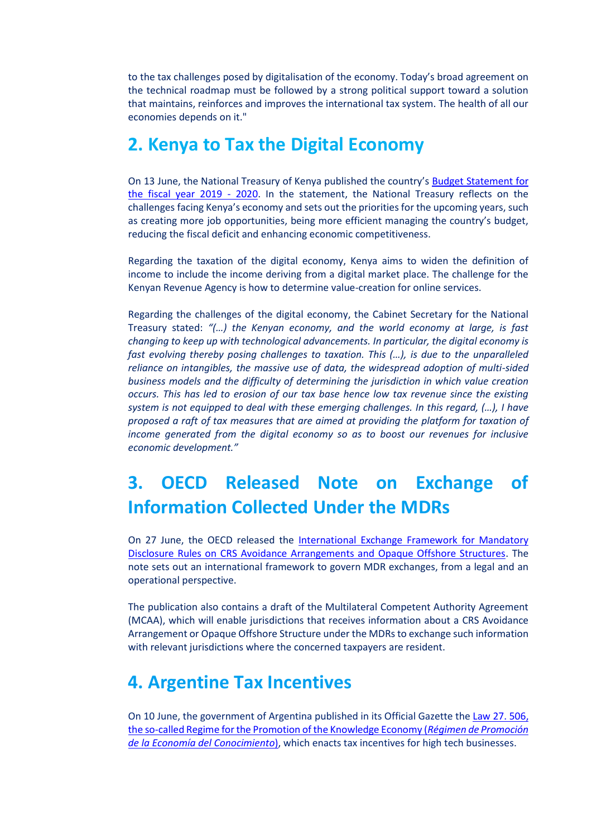to the tax challenges posed by digitalisation of the economy. Today's broad agreement on the technical roadmap must be followed by a strong political support toward a solution that maintains, reinforces and improves the international tax system. The health of all our economies depends on it."

#### **2. Kenya to Tax the Digital Economy**

On 13 June, the National Treasury of Kenya published the country's [Budget Statement for](https://taxadviserseurope.us16.list-manage.com/track/click?u=0823f78338ab363b7e312367d&id=25f86ead2c&e=d675bf34cb)  [the fiscal year 2019 -](https://taxadviserseurope.us16.list-manage.com/track/click?u=0823f78338ab363b7e312367d&id=25f86ead2c&e=d675bf34cb) 2020. In the statement, the National Treasury reflects on the challenges facing Kenya's economy and sets out the priorities for the upcoming years, such as creating more job opportunities, being more efficient managing the country's budget, reducing the fiscal deficit and enhancing economic competitiveness.

Regarding the taxation of the digital economy, Kenya aims to widen the definition of income to include the income deriving from a digital market place. The challenge for the Kenyan Revenue Agency is how to determine value-creation for online services.

Regarding the challenges of the digital economy, the Cabinet Secretary for the National Treasury stated: *"(…) the Kenyan economy, and the world economy at large, is fast changing to keep up with technological advancements. In particular, the digital economy is fast evolving thereby posing challenges to taxation. This (…), is due to the unparalleled reliance on intangibles, the massive use of data, the widespread adoption of multi-sided business models and the difficulty of determining the jurisdiction in which value creation occurs. This has led to erosion of our tax base hence low tax revenue since the existing system is not equipped to deal with these emerging challenges. In this regard, (…), I have proposed a raft of tax measures that are aimed at providing the platform for taxation of income generated from the digital economy so as to boost our revenues for inclusive economic development."*

# **3. OECD Released Note on Exchange of Information Collected Under the MDRs**

On 27 June, the OECD released the International Exchange Framework for Mandatory [Disclosure Rules on CRS Avoidance Arrangements and Opaque Offshore Structures.](https://taxadviserseurope.us16.list-manage.com/track/click?u=0823f78338ab363b7e312367d&id=c2d674d52a&e=d675bf34cb) The note sets out an international framework to govern MDR exchanges, from a legal and an operational perspective.

The publication also contains a draft of the Multilateral Competent Authority Agreement (MCAA), which will enable jurisdictions that receives information about a CRS Avoidance Arrangement or Opaque Offshore Structure under the MDRs to exchange such information with relevant jurisdictions where the concerned taxpayers are resident.

#### **4. Argentine Tax Incentives**

On 10 June, the government of Argentina published in its Official Gazette th[e Law 27. 506,](https://taxadviserseurope.us16.list-manage.com/track/click?u=0823f78338ab363b7e312367d&id=84f1ab5c3c&e=d675bf34cb)  [the so-called Regime for the Promotion of the Knowledge Economy \(](https://taxadviserseurope.us16.list-manage.com/track/click?u=0823f78338ab363b7e312367d&id=84f1ab5c3c&e=d675bf34cb)*Régimen de Promoción [de la Economía del Conocimiento](https://taxadviserseurope.us16.list-manage.com/track/click?u=0823f78338ab363b7e312367d&id=84f1ab5c3c&e=d675bf34cb)*), which enacts tax incentives for high tech businesses.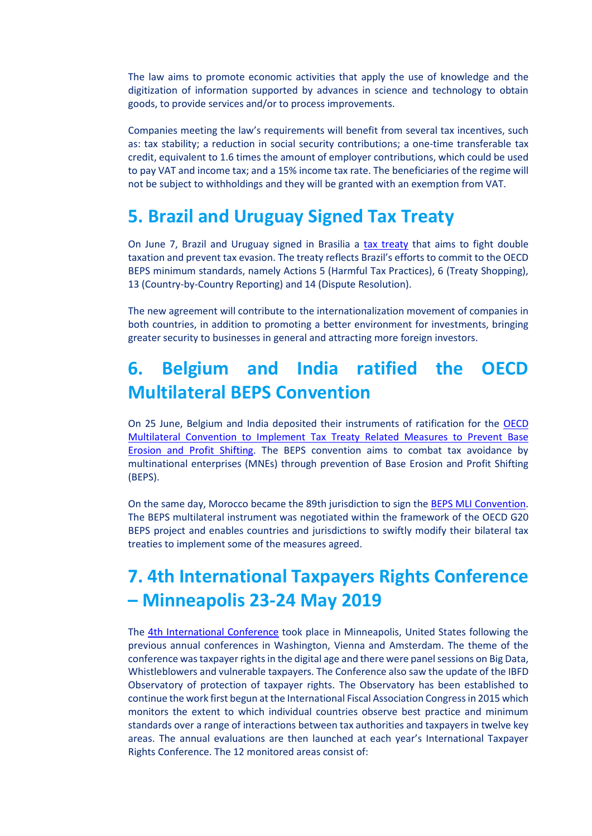The law aims to promote economic activities that apply the use of knowledge and the digitization of information supported by advances in science and technology to obtain goods, to provide services and/or to process improvements.

Companies meeting the law's requirements will benefit from several tax incentives, such as: tax stability; a reduction in social security contributions; a one-time transferable tax credit, equivalent to 1.6 times the amount of employer contributions, which could be used to pay VAT and income tax; and a 15% income tax rate. The beneficiaries of the regime will not be subject to withholdings and they will be granted with an exemption from VAT.

#### **5. Brazil and Uruguay Signed Tax Treaty**

On June 7, Brazil and Uruguay signed in Brasilia a [tax treaty](https://taxadviserseurope.us16.list-manage.com/track/click?u=0823f78338ab363b7e312367d&id=95fe5cebfc&e=d675bf34cb) that aims to fight double taxation and prevent tax evasion. The treaty reflects Brazil's efforts to commit to the OECD BEPS minimum standards, namely Actions 5 (Harmful Tax Practices), 6 (Treaty Shopping), 13 (Country-by-Country Reporting) and 14 (Dispute Resolution).

The new agreement will contribute to the internationalization movement of companies in both countries, in addition to promoting a better environment for investments, bringing greater security to businesses in general and attracting more foreign investors.

## **6. Belgium and India ratified the OECD Multilateral BEPS Convention**

On 25 June, Belgium and India deposited their instruments of ratification for the OECD [Multilateral Convention to Implement Tax Treaty Related Measures to Prevent Base](https://taxadviserseurope.us16.list-manage.com/track/click?u=0823f78338ab363b7e312367d&id=4f570dae7f&e=d675bf34cb)  [Erosion and Profit Shifting.](https://taxadviserseurope.us16.list-manage.com/track/click?u=0823f78338ab363b7e312367d&id=4f570dae7f&e=d675bf34cb) The BEPS convention aims to combat tax avoidance by multinational enterprises (MNEs) through prevention of Base Erosion and Profit Shifting (BEPS).

On the same day, Morocco became the 89th jurisdiction to sign the [BEPS MLI Convention.](https://taxadviserseurope.us16.list-manage.com/track/click?u=0823f78338ab363b7e312367d&id=9968d63695&e=d675bf34cb) The BEPS multilateral instrument was negotiated within the framework of the OECD G20 BEPS project and enables countries and jurisdictions to swiftly modify their bilateral tax treaties to implement some of the measures agreed.

# **7. 4th International Taxpayers Rights Conference – Minneapolis 23-24 May 2019**

The [4th International Conference](https://taxadviserseurope.us16.list-manage.com/track/click?u=0823f78338ab363b7e312367d&id=5d1eca17c8&e=d675bf34cb) took place in Minneapolis, United States following the previous annual conferences in Washington, Vienna and Amsterdam. The theme of the conference was taxpayer rights in the digital age and there were panel sessions on Big Data, Whistleblowers and vulnerable taxpayers. The Conference also saw the update of the IBFD Observatory of protection of taxpayer rights. The Observatory has been established to continue the work first begun at the International Fiscal Association Congress in 2015 which monitors the extent to which individual countries observe best practice and minimum standards over a range of interactions between tax authorities and taxpayers in twelve key areas. The annual evaluations are then launched at each year's International Taxpayer Rights Conference. The 12 monitored areas consist of: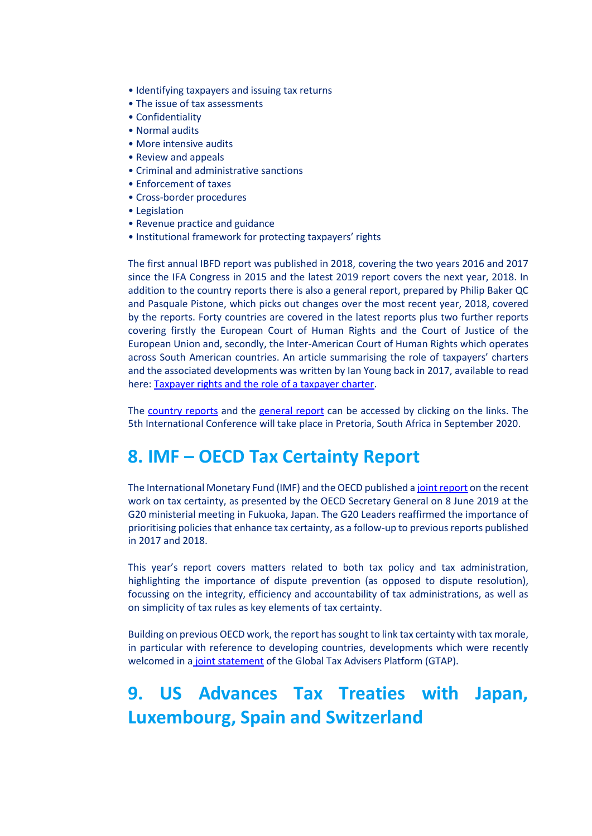- Identifying taxpayers and issuing tax returns
- The issue of tax assessments
- Confidentiality
- Normal audits
- More intensive audits
- Review and appeals
- Criminal and administrative sanctions
- Enforcement of taxes
- Cross-border procedures
- Legislation
- Revenue practice and guidance
- Institutional framework for protecting taxpayers' rights

The first annual IBFD report was published in 2018, covering the two years 2016 and 2017 since the IFA Congress in 2015 and the latest 2019 report covers the next year, 2018. In addition to the country reports there is also a general report, prepared by Philip Baker QC and Pasquale Pistone, which picks out changes over the most recent year, 2018, covered by the reports. Forty countries are covered in the latest reports plus two further reports covering firstly the European Court of Human Rights and the Court of Justice of the European Union and, secondly, the Inter-American Court of Human Rights which operates across South American countries. An article summarising the role of taxpayers' charters and the associated developments was written by Ian Young back in 2017, available to read here: [Taxpayer rights and the role of a taxpayer charter.](https://taxadviserseurope.us16.list-manage.com/track/click?u=0823f78338ab363b7e312367d&id=a7b686755e&e=d675bf34cb)

The [country reports](https://taxadviserseurope.us16.list-manage.com/track/click?u=0823f78338ab363b7e312367d&id=19257b79de&e=d675bf34cb) and the [general report](https://taxadviserseurope.us16.list-manage.com/track/click?u=0823f78338ab363b7e312367d&id=c85f0fa3c7&e=d675bf34cb) can be accessed by clicking on the links. The 5th International Conference will take place in Pretoria, South Africa in September 2020.

### **8. IMF – OECD Tax Certainty Report**

The International Monetary Fund (IMF) and the OECD published [a joint report](https://taxadviserseurope.us16.list-manage.com/track/click?u=0823f78338ab363b7e312367d&id=ec1fbeee21&e=d675bf34cb) on the recent work on tax certainty, as presented by the OECD Secretary General on 8 June 2019 at the G20 ministerial meeting in Fukuoka, Japan. The G20 Leaders reaffirmed the importance of prioritising policies that enhance tax certainty, as a follow-up to previous reports published in 2017 and 2018.

This year's report covers matters related to both tax policy and tax administration, highlighting the importance of dispute prevention (as opposed to dispute resolution), focussing on the integrity, efficiency and accountability of tax administrations, as well as on simplicity of tax rules as key elements of tax certainty.

Building on previous OECD work, the report has sought to link tax certainty with tax morale, in particular with reference to developing countries, developments which were recently welcomed in a [joint statement](https://taxadviserseurope.us16.list-manage.com/track/click?u=0823f78338ab363b7e312367d&id=1230f0cb08&e=d675bf34cb) of the Global Tax Advisers Platform (GTAP).

# **9. US Advances Tax Treaties with Japan, Luxembourg, Spain and Switzerland**